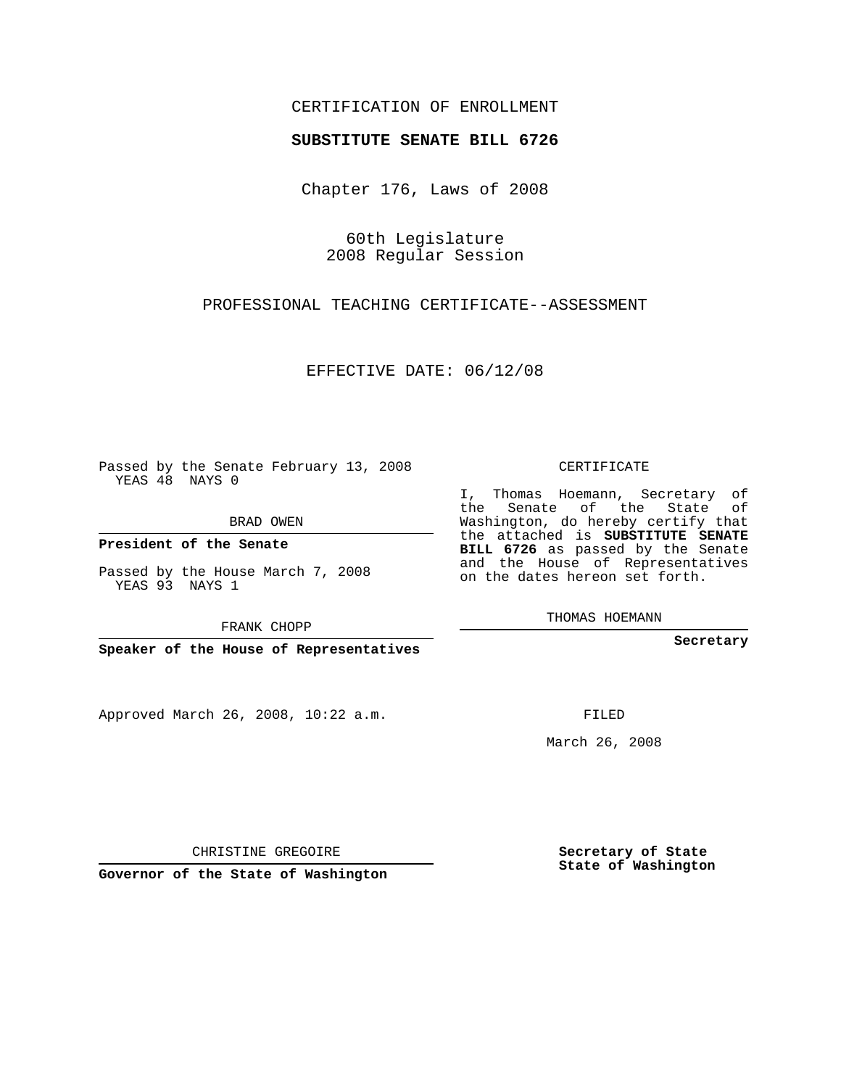## CERTIFICATION OF ENROLLMENT

### **SUBSTITUTE SENATE BILL 6726**

Chapter 176, Laws of 2008

60th Legislature 2008 Regular Session

PROFESSIONAL TEACHING CERTIFICATE--ASSESSMENT

EFFECTIVE DATE: 06/12/08

Passed by the Senate February 13, 2008 YEAS 48 NAYS 0

BRAD OWEN

**President of the Senate**

Passed by the House March 7, 2008 YEAS 93 NAYS 1

FRANK CHOPP

**Speaker of the House of Representatives**

Approved March 26, 2008, 10:22 a.m.

CERTIFICATE

I, Thomas Hoemann, Secretary of the Senate of the State of Washington, do hereby certify that the attached is **SUBSTITUTE SENATE BILL 6726** as passed by the Senate and the House of Representatives on the dates hereon set forth.

THOMAS HOEMANN

**Secretary**

FILED

March 26, 2008

**Secretary of State State of Washington**

CHRISTINE GREGOIRE

**Governor of the State of Washington**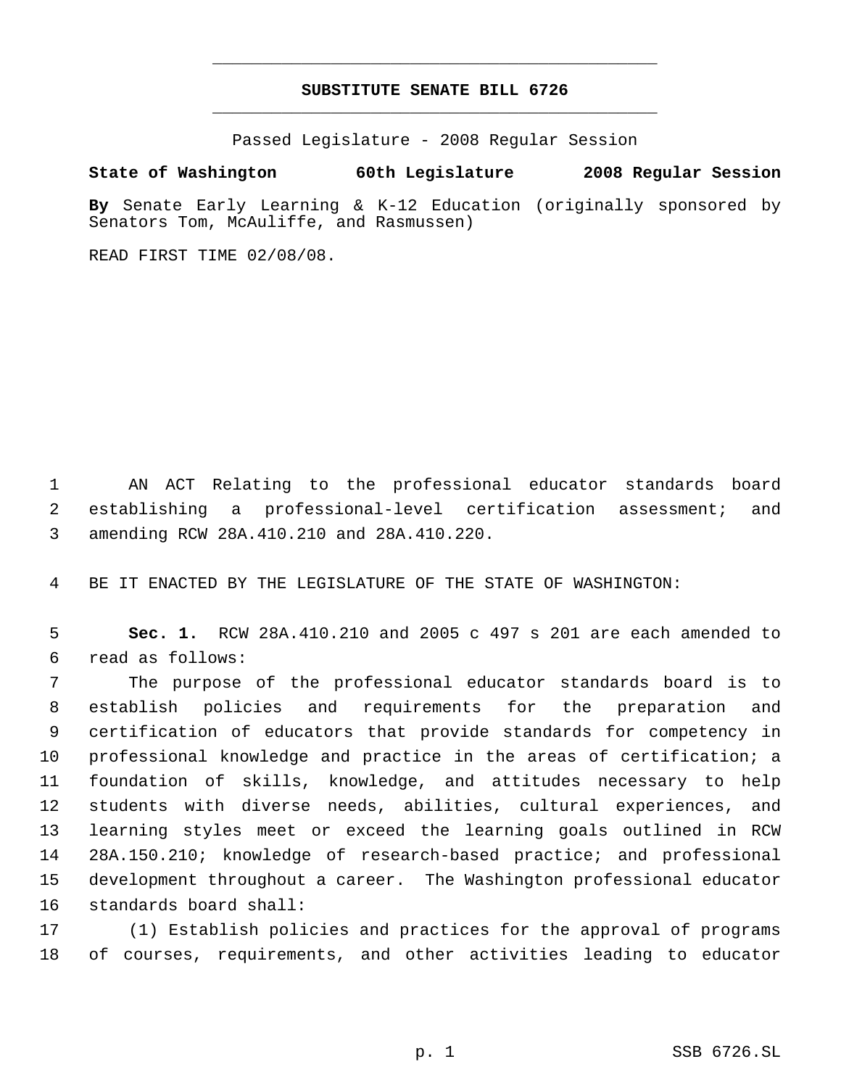# **SUBSTITUTE SENATE BILL 6726** \_\_\_\_\_\_\_\_\_\_\_\_\_\_\_\_\_\_\_\_\_\_\_\_\_\_\_\_\_\_\_\_\_\_\_\_\_\_\_\_\_\_\_\_\_

\_\_\_\_\_\_\_\_\_\_\_\_\_\_\_\_\_\_\_\_\_\_\_\_\_\_\_\_\_\_\_\_\_\_\_\_\_\_\_\_\_\_\_\_\_

Passed Legislature - 2008 Regular Session

### **State of Washington 60th Legislature 2008 Regular Session**

**By** Senate Early Learning & K-12 Education (originally sponsored by Senators Tom, McAuliffe, and Rasmussen)

READ FIRST TIME 02/08/08.

 AN ACT Relating to the professional educator standards board establishing a professional-level certification assessment; and amending RCW 28A.410.210 and 28A.410.220.

BE IT ENACTED BY THE LEGISLATURE OF THE STATE OF WASHINGTON:

 **Sec. 1.** RCW 28A.410.210 and 2005 c 497 s 201 are each amended to read as follows:

 The purpose of the professional educator standards board is to establish policies and requirements for the preparation and certification of educators that provide standards for competency in professional knowledge and practice in the areas of certification; a foundation of skills, knowledge, and attitudes necessary to help students with diverse needs, abilities, cultural experiences, and learning styles meet or exceed the learning goals outlined in RCW 28A.150.210; knowledge of research-based practice; and professional development throughout a career. The Washington professional educator standards board shall:

 (1) Establish policies and practices for the approval of programs of courses, requirements, and other activities leading to educator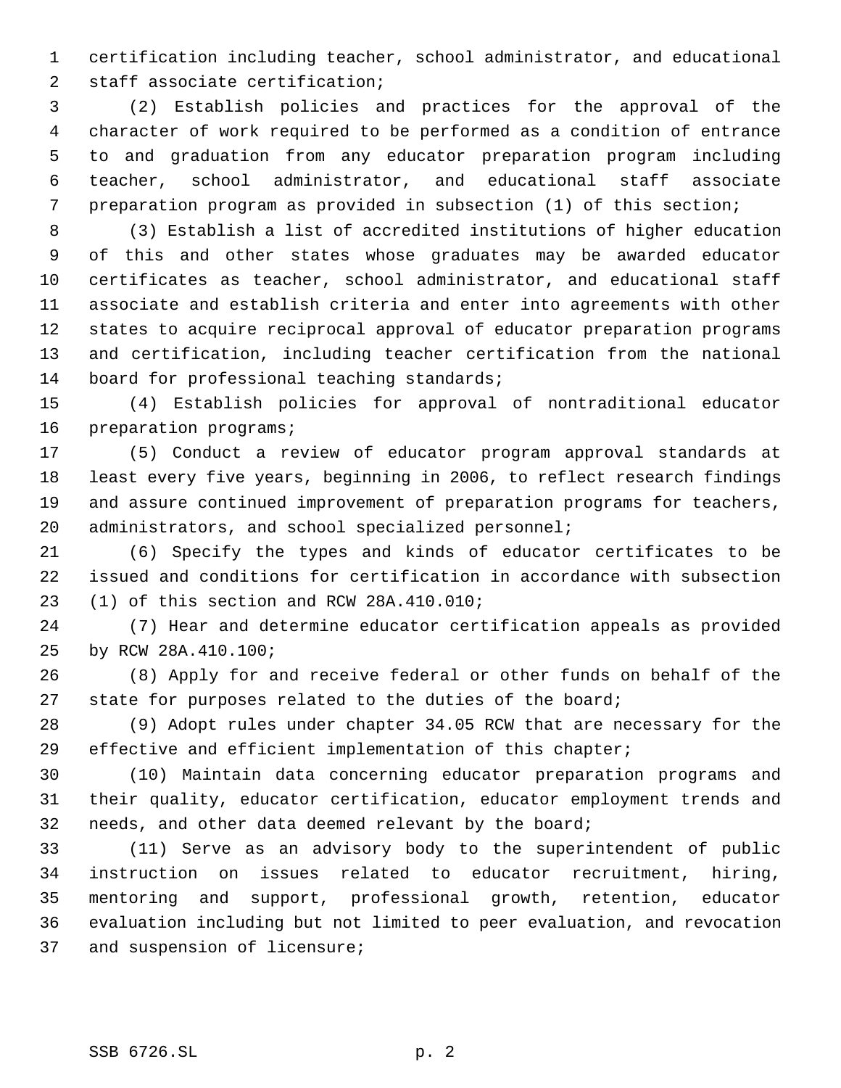certification including teacher, school administrator, and educational staff associate certification;

 (2) Establish policies and practices for the approval of the character of work required to be performed as a condition of entrance to and graduation from any educator preparation program including teacher, school administrator, and educational staff associate preparation program as provided in subsection (1) of this section;

 (3) Establish a list of accredited institutions of higher education of this and other states whose graduates may be awarded educator certificates as teacher, school administrator, and educational staff associate and establish criteria and enter into agreements with other states to acquire reciprocal approval of educator preparation programs and certification, including teacher certification from the national 14 board for professional teaching standards;

 (4) Establish policies for approval of nontraditional educator preparation programs;

 (5) Conduct a review of educator program approval standards at least every five years, beginning in 2006, to reflect research findings and assure continued improvement of preparation programs for teachers, administrators, and school specialized personnel;

 (6) Specify the types and kinds of educator certificates to be issued and conditions for certification in accordance with subsection (1) of this section and RCW 28A.410.010;

 (7) Hear and determine educator certification appeals as provided by RCW 28A.410.100;

 (8) Apply for and receive federal or other funds on behalf of the state for purposes related to the duties of the board;

 (9) Adopt rules under chapter 34.05 RCW that are necessary for the effective and efficient implementation of this chapter;

 (10) Maintain data concerning educator preparation programs and their quality, educator certification, educator employment trends and needs, and other data deemed relevant by the board;

 (11) Serve as an advisory body to the superintendent of public instruction on issues related to educator recruitment, hiring, mentoring and support, professional growth, retention, educator evaluation including but not limited to peer evaluation, and revocation and suspension of licensure;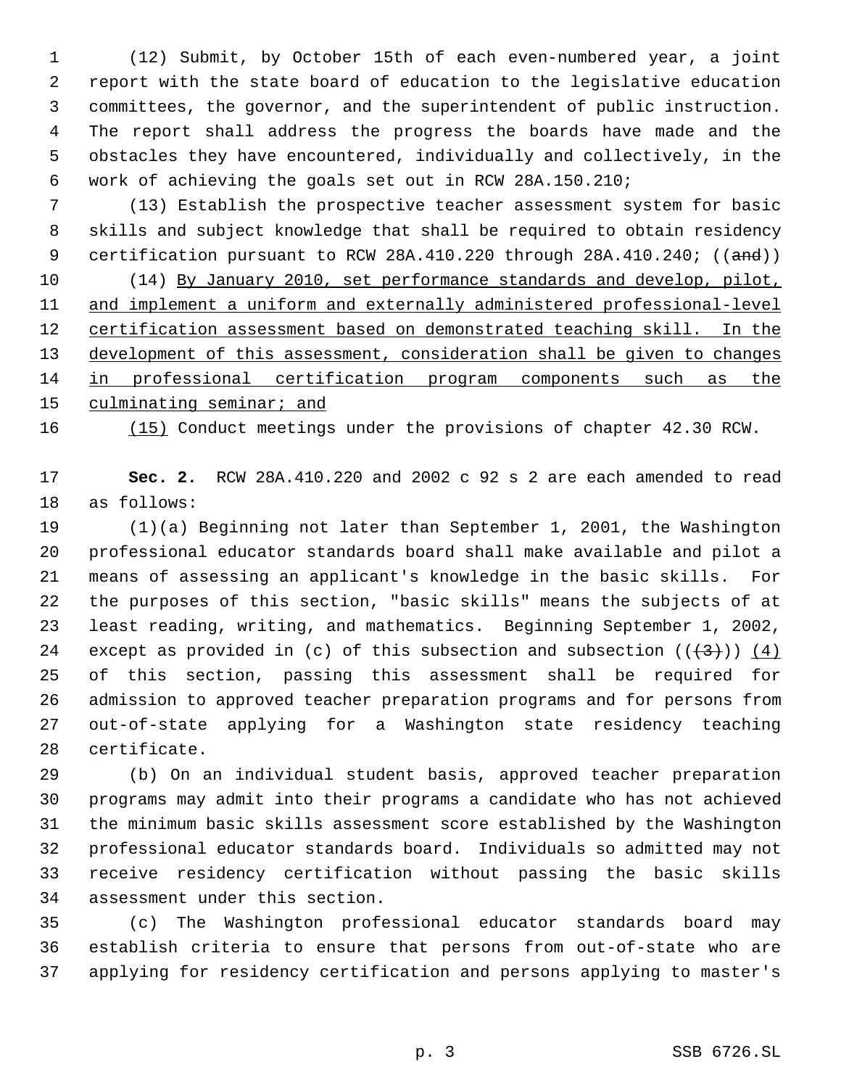(12) Submit, by October 15th of each even-numbered year, a joint report with the state board of education to the legislative education committees, the governor, and the superintendent of public instruction. The report shall address the progress the boards have made and the obstacles they have encountered, individually and collectively, in the work of achieving the goals set out in RCW 28A.150.210;

 (13) Establish the prospective teacher assessment system for basic skills and subject knowledge that shall be required to obtain residency 9 certification pursuant to RCW 28A.410.220 through 28A.410.240; ((and))

 (14) By January 2010, set performance standards and develop, pilot, and implement a uniform and externally administered professional-level 12 certification assessment based on demonstrated teaching skill. In the 13 development of this assessment, consideration shall be given to changes in professional certification program components such as the culminating seminar; and

(15) Conduct meetings under the provisions of chapter 42.30 RCW.

 **Sec. 2.** RCW 28A.410.220 and 2002 c 92 s 2 are each amended to read as follows:

 (1)(a) Beginning not later than September 1, 2001, the Washington professional educator standards board shall make available and pilot a means of assessing an applicant's knowledge in the basic skills. For the purposes of this section, "basic skills" means the subjects of at least reading, writing, and mathematics. Beginning September 1, 2002, 24 except as provided in (c) of this subsection and subsection  $((+3+))$  (4) of this section, passing this assessment shall be required for admission to approved teacher preparation programs and for persons from out-of-state applying for a Washington state residency teaching certificate.

 (b) On an individual student basis, approved teacher preparation programs may admit into their programs a candidate who has not achieved the minimum basic skills assessment score established by the Washington professional educator standards board. Individuals so admitted may not receive residency certification without passing the basic skills assessment under this section.

 (c) The Washington professional educator standards board may establish criteria to ensure that persons from out-of-state who are applying for residency certification and persons applying to master's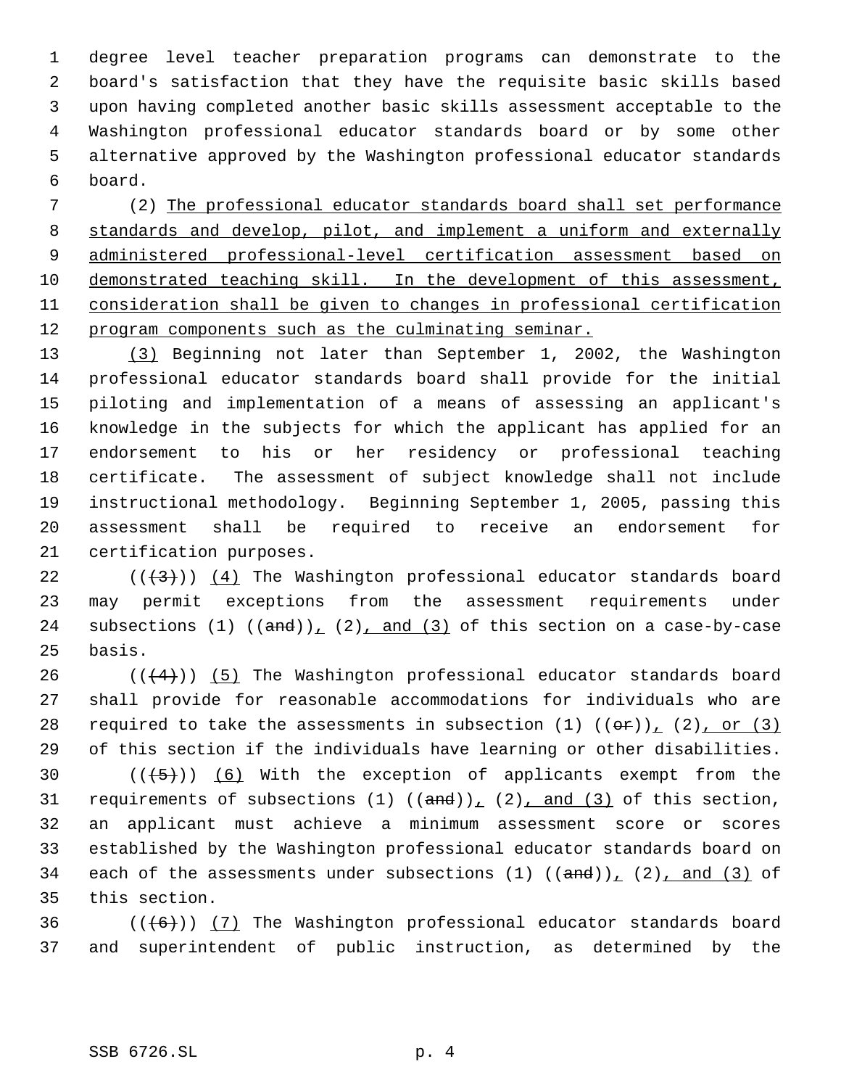degree level teacher preparation programs can demonstrate to the board's satisfaction that they have the requisite basic skills based upon having completed another basic skills assessment acceptable to the Washington professional educator standards board or by some other alternative approved by the Washington professional educator standards board.

 (2) The professional educator standards board shall set performance standards and develop, pilot, and implement a uniform and externally administered professional-level certification assessment based on demonstrated teaching skill. In the development of this assessment, consideration shall be given to changes in professional certification 12 program components such as the culminating seminar.

 (3) Beginning not later than September 1, 2002, the Washington professional educator standards board shall provide for the initial piloting and implementation of a means of assessing an applicant's knowledge in the subjects for which the applicant has applied for an endorsement to his or her residency or professional teaching certificate. The assessment of subject knowledge shall not include instructional methodology. Beginning September 1, 2005, passing this assessment shall be required to receive an endorsement for certification purposes.

22  $((+3))$   $(4)$  The Washington professional educator standards board may permit exceptions from the assessment requirements under 24 subsections (1)  $((and))_1$  (2), and (3) of this section on a case-by-case basis.

 $((+4))$  (5) The Washington professional educator standards board shall provide for reasonable accommodations for individuals who are 28 required to take the assessments in subsection (1)  $((\theta \hat{r}))_1$  (2), or (3) of this section if the individuals have learning or other disabilities.

 $((+5))$   $(6)$  With the exception of applicants exempt from the 31 requirements of subsections  $(1)$   $((and))_1$   $(2)$ , and  $(3)$  of this section, an applicant must achieve a minimum assessment score or scores established by the Washington professional educator standards board on 34 each of the assessments under subsections  $(1)$   $((and))_1$   $(2)$  and  $(3)$  of this section.

36  $((+6))$   $(7)$  The Washington professional educator standards board and superintendent of public instruction, as determined by the